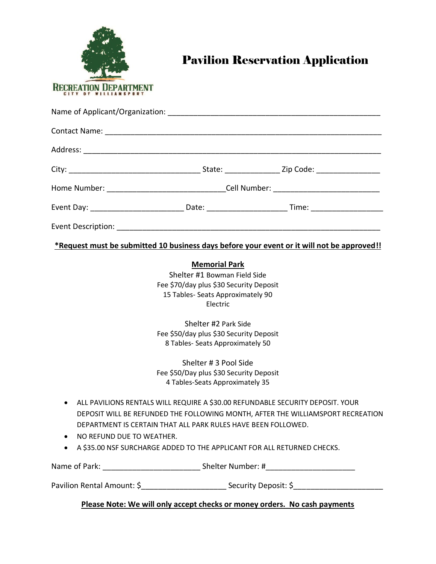

# Pavilion Reservation Application

| Home Number: ________________________________Cell Number: ______________________ |                            |                           |
|----------------------------------------------------------------------------------|----------------------------|---------------------------|
|                                                                                  | Date: ____________________ | Time: ___________________ |

**\*Request must be submitted 10 business days before your event or it will not be approved!!**

Event Description: **Example 20** Figure 20 Figure 20 Figure 20 Figure 20 Figure 20 Figure 20 Figure 20 Figure 20 Figure 20 Figure 20 Figure 20 Figure 20 Figure 20 Figure 20 Figure 20 Figure 20 Figure 20 Figure 20 Figure 20

Shelter #2 Park Side Fee \$50/day plus \$30 Security Deposit 8 Tables- Seats Approximately 50

Shelter # 3 Pool Side Fee \$50/Day plus \$30 Security Deposit 4 Tables-Seats Approximately 35

- ALL PAVILIONS RENTALS WILL REQUIRE A \$30.00 REFUNDABLE SECURITY DEPOSIT. YOUR DEPOSIT WILL BE REFUNDED THE FOLLOWING MONTH, AFTER THE WILLIAMSPORT RECREATION DEPARTMENT IS CERTAIN THAT ALL PARK RULES HAVE BEEN FOLLOWED.
- NO REFUND DUE TO WEATHER.
- A \$35.00 NSF SURCHARGE ADDED TO THE APPLICANT FOR ALL RETURNED CHECKS.

Pavilion Rental Amount: \$\_\_\_\_\_\_\_\_\_\_\_\_\_\_\_\_\_\_\_\_ Security Deposit: \$\_\_\_\_\_\_\_\_\_\_\_\_\_\_\_\_\_\_\_\_\_

**Please Note: We will only accept checks or money orders. No cash payments**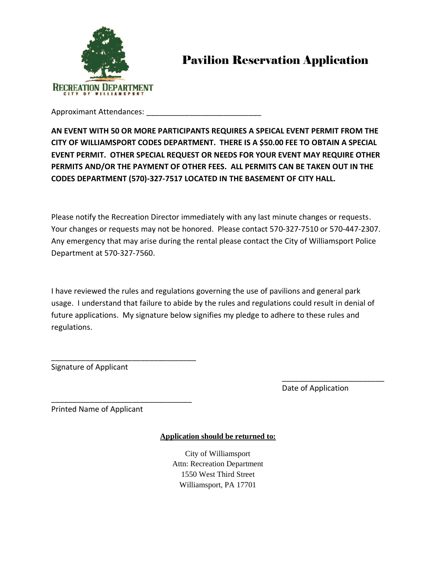

# Pavilion Reservation Application

Approximant Attendances:

**AN EVENT WITH 50 OR MORE PARTICIPANTS REQUIRES A SPEICAL EVENT PERMIT FROM THE CITY OF WILLIAMSPORT CODES DEPARTMENT. THERE IS A \$50.00 FEE TO OBTAIN A SPECIAL EVENT PERMIT. OTHER SPECIAL REQUEST OR NEEDS FOR YOUR EVENT MAY REQUIRE OTHER PERMITS AND/OR THE PAYMENT OF OTHER FEES. ALL PERMITS CAN BE TAKEN OUT IN THE CODES DEPARTMENT (570)-327-7517 LOCATED IN THE BASEMENT OF CITY HALL.**

Please notify the Recreation Director immediately with any last minute changes or requests. Your changes or requests may not be honored. Please contact 570-327-7510 or 570-447-2307. Any emergency that may arise during the rental please contact the City of Williamsport Police Department at 570-327-7560.

I have reviewed the rules and regulations governing the use of pavilions and general park usage. I understand that failure to abide by the rules and regulations could result in denial of future applications. My signature below signifies my pledge to adhere to these rules and regulations.

Signature of Applicant

\_\_\_\_\_\_\_\_\_\_\_\_\_\_\_\_\_\_\_\_\_\_\_\_\_\_\_\_\_\_\_\_\_\_

\_\_\_\_\_\_\_\_\_\_\_\_\_\_\_\_\_\_\_\_\_\_\_\_\_\_\_\_\_\_\_\_\_

Date of Application

\_\_\_\_\_\_\_\_\_\_\_\_\_\_\_\_\_\_\_\_\_\_\_\_

Printed Name of Applicant

### **Application should be returned to:**

City of Williamsport Attn: Recreation Department 1550 West Third Street Williamsport, PA 17701